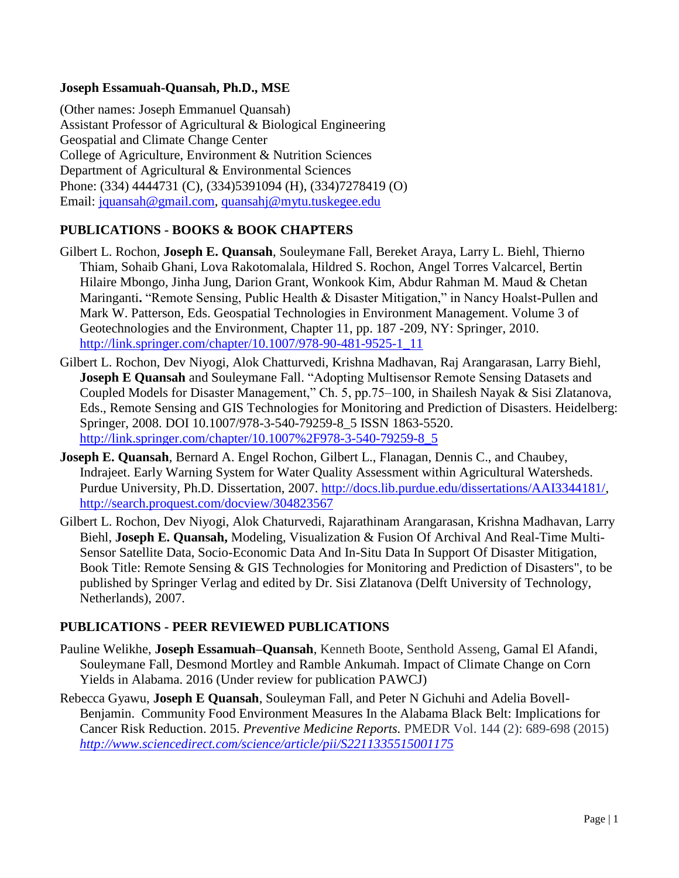### **Joseph Essamuah-Quansah, Ph.D., MSE**

(Other names: Joseph Emmanuel Quansah) Assistant Professor of Agricultural & Biological Engineering Geospatial and Climate Change Center College of Agriculture, Environment & Nutrition Sciences Department of Agricultural & Environmental Sciences Phone: (334) 4444731 (C), (334)5391094 (H), (334)7278419 (O) Email: [jquansah@gmail.com,](mailto:jquansah@gmail.com) [quansahj@mytu.tuskegee.edu](mailto:quansahj@mytu.tuskegee.edu)

# **PUBLICATIONS - BOOKS & BOOK CHAPTERS**

- Gilbert L. Rochon, **Joseph E. Quansah**, Souleymane Fall, Bereket Araya, Larry L. Biehl, Thierno Thiam, Sohaib Ghani, Lova Rakotomalala, Hildred S. Rochon, Angel Torres Valcarcel, Bertin Hilaire Mbongo, Jinha Jung, Darion Grant, Wonkook Kim, Abdur Rahman M. Maud & Chetan Maringanti**.** "Remote Sensing, Public Health & Disaster Mitigation," in Nancy Hoalst-Pullen and Mark W. Patterson, Eds. Geospatial Technologies in Environment Management. Volume 3 of Geotechnologies and the Environment, Chapter 11, pp. 187 -209, NY: Springer, 2010. [http://link.springer.com/chapter/10.1007/978-90-481-9525-1\\_11](http://link.springer.com/chapter/10.1007/978-90-481-9525-1_11)
- Gilbert L. Rochon, Dev Niyogi, Alok Chatturvedi, Krishna Madhavan, Raj Arangarasan, Larry Biehl, **Joseph E Quansah** and Souleymane Fall. "Adopting Multisensor Remote Sensing Datasets and Coupled Models for Disaster Management," Ch. 5, pp.75–100, in Shailesh Nayak & Sisi Zlatanova, Eds., Remote Sensing and GIS Technologies for Monitoring and Prediction of Disasters. Heidelberg: Springer, 2008. DOI 10.1007/978-3-540-79259-8\_5 ISSN 1863-5520. [http://link.springer.com/chapter/10.1007%2F978-3-540-79259-8\\_5](http://link.springer.com/chapter/10.1007%2F978-3-540-79259-8_5)
- **Joseph E. Quansah**, Bernard A. Engel Rochon, Gilbert L., Flanagan, Dennis C., and Chaubey, Indrajeet. Early Warning System for Water Quality Assessment within Agricultural Watersheds. Purdue University, Ph.D. Dissertation, 2007. [http://docs.lib.purdue.edu/dissertations/AAI3344181/,](http://docs.lib.purdue.edu/dissertations/AAI3344181/) <http://search.proquest.com/docview/304823567>
- Gilbert L. Rochon, Dev Niyogi, Alok Chaturvedi, Rajarathinam Arangarasan, Krishna Madhavan, Larry Biehl, **Joseph E. Quansah,** Modeling, Visualization & Fusion Of Archival And Real-Time Multi-Sensor Satellite Data, Socio-Economic Data And In-Situ Data In Support Of Disaster Mitigation, Book Title: Remote Sensing & GIS Technologies for Monitoring and Prediction of Disasters", to be published by Springer Verlag and edited by Dr. Sisi Zlatanova (Delft University of Technology, Netherlands), 2007.

## **PUBLICATIONS - PEER REVIEWED PUBLICATIONS**

- Pauline Welikhe, **Joseph Essamuah–Quansah**, Kenneth Boote, Senthold Asseng, Gamal El Afandi, Souleymane Fall, Desmond Mortley and Ramble Ankumah. Impact of Climate Change on Corn Yields in Alabama. 2016 (Under review for publication PAWCJ)
- Rebecca Gyawu, **Joseph E Quansah**, Souleyman Fall, and Peter N Gichuhi and Adelia Bovell-Benjamin. Community Food Environment Measures In the Alabama Black Belt: Implications for Cancer Risk Reduction. 2015. *Preventive Medicine Reports.* PMEDR Vol. 144 (2): 689-698 (2015) *<http://www.sciencedirect.com/science/article/pii/S2211335515001175>*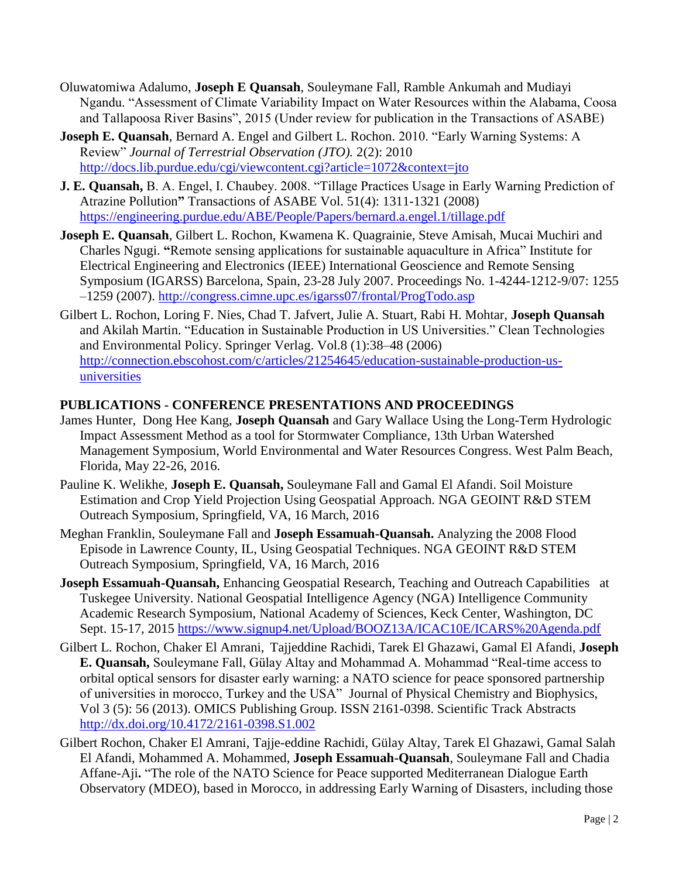- Oluwatomiwa Adalumo, **Joseph E Quansah**, Souleymane Fall, Ramble Ankumah and Mudiayi Ngandu. "Assessment of Climate Variability Impact on Water Resources within the Alabama, Coosa and Tallapoosa River Basins", 2015 (Under review for publication in the Transactions of ASABE)
- **Joseph E. Quansah**, Bernard A. Engel and Gilbert L. Rochon. 2010. "Early Warning Systems: A Review" *Journal of Terrestrial Observation (JTO).* 2(2): 2010 http://docs.lib.purdue.edu/cgi/viewcontent.cgi?article=1072&context=jto
- **J. E. Quansah,** B. A. Engel, I. Chaubey. 2008. "Tillage Practices Usage in Early Warning Prediction of Atrazine Pollution**"** Transactions of ASABE Vol. 51(4): 1311-1321 (2008) <https://engineering.purdue.edu/ABE/People/Papers/bernard.a.engel.1/tillage.pdf>
- **Joseph E. Quansah***,* Gilbert L. Rochon, Kwamena K. Quagrainie, Steve Amisah, Mucai Muchiri and Charles Ngugi. **"**Remote sensing applications for sustainable aquaculture in Africa" Institute for Electrical Engineering and Electronics (IEEE) International Geoscience and Remote Sensing Symposium (IGARSS) Barcelona, Spain, 23-28 July 2007. Proceedings No. 1-4244-1212-9/07: 1255 –1259 (2007).<http://congress.cimne.upc.es/igarss07/frontal/ProgTodo.asp>
- Gilbert L. Rochon, Loring F. Nies, Chad T. Jafvert, Julie A. Stuart, Rabi H. Mohtar, **Joseph Quansah**  and Akilah Martin. "Education in Sustainable Production in US Universities." Clean Technologies and Environmental Policy. Springer Verlag. Vol.8 (1):38–48 (2006) [http://connection.ebscohost.com/c/articles/21254645/education-sustainable-production-us](http://connection.ebscohost.com/c/articles/21254645/education-sustainable-production-us-universities)[universities](http://connection.ebscohost.com/c/articles/21254645/education-sustainable-production-us-universities)

## **PUBLICATIONS - CONFERENCE PRESENTATIONS AND PROCEEDINGS**

- James Hunter, Dong Hee Kang, **Joseph Quansah** and Gary Wallace Using the Long-Term Hydrologic Impact Assessment Method as a tool for Stormwater Compliance, 13th Urban Watershed Management Symposium, World Environmental and Water Resources Congress. West Palm Beach, Florida, May 22-26, 2016.
- Pauline K. Welikhe, **Joseph E. Quansah,** Souleymane Fall and Gamal El Afandi. Soil Moisture Estimation and Crop Yield Projection Using Geospatial Approach. NGA GEOINT R&D STEM Outreach Symposium, Springfield, VA, 16 March, 2016
- Meghan Franklin, Souleymane Fall and **Joseph Essamuah-Quansah.** Analyzing the 2008 Flood Episode in Lawrence County, IL, Using Geospatial Techniques. NGA GEOINT R&D STEM Outreach Symposium, Springfield, VA, 16 March, 2016
- **Joseph Essamuah-Quansah,** Enhancing Geospatial Research, Teaching and Outreach Capabilities at Tuskegee University. National Geospatial Intelligence Agency (NGA) Intelligence Community Academic Research Symposium, National Academy of Sciences, Keck Center, Washington, DC Sept. 15-17, 2015<https://www.signup4.net/Upload/BOOZ13A/ICAC10E/ICARS%20Agenda.pdf>
- Gilbert L. Rochon, Chaker El Amrani, Tajjeddine Rachidi, Tarek El Ghazawi, Gamal El Afandi, **Joseph E. Quansah,** Souleymane Fall, Gülay Altay and Mohammad A. Mohammad "Real-time access to orbital optical sensors for disaster early warning: a NATO science for peace sponsored partnership of universities in morocco, Turkey and the USA" Journal of Physical Chemistry and Biophysics, Vol 3 (5): 56 (2013). OMICS Publishing Group. ISSN 2161-0398. Scientific Track Abstracts <http://dx.doi.org/10.4172/2161-0398.S1.002>
- Gilbert Rochon, Chaker El Amrani, Tajje-eddine Rachidi, Gülay Altay, Tarek El Ghazawi, Gamal Salah El Afandi, Mohammed A. Mohammed, **Joseph Essamuah-Quansah**, Souleymane Fall and Chadia Affane-Aji**.** "The role of the NATO Science for Peace supported Mediterranean Dialogue Earth Observatory (MDEO), based in Morocco, in addressing Early Warning of Disasters, including those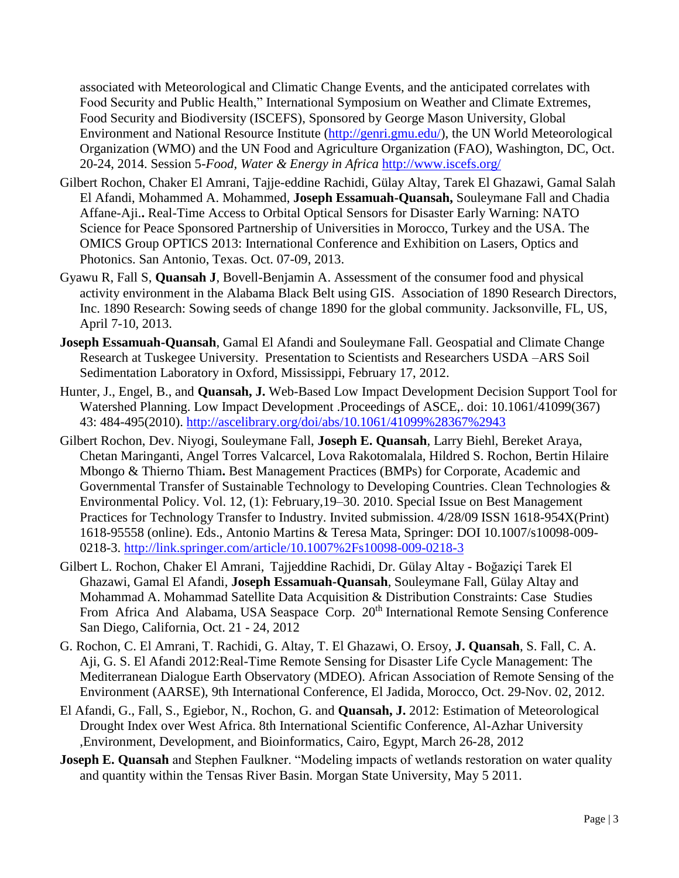associated with Meteorological and Climatic Change Events, and the anticipated correlates with Food Security and Public Health," International Symposium on Weather and Climate Extremes, Food Security and Biodiversity (ISCEFS), Sponsored by George Mason University, Global Environment and National Resource Institute [\(http://genri.gmu.edu/\)](http://genri.gmu.edu/), the UN World Meteorological Organization (WMO) and the UN Food and Agriculture Organization (FAO), Washington, DC, Oct. 20-24, 2014. Session 5-*Food, Water & Energy in Africa* <http://www.iscefs.org/>

- Gilbert Rochon, Chaker El Amrani, Tajje-eddine Rachidi, Gülay Altay, Tarek El Ghazawi, Gamal Salah El Afandi, Mohammed A. Mohammed, **Joseph Essamuah-Quansah,** Souleymane Fall and Chadia Affane-Aji.**.** Real-Time Access to Orbital Optical Sensors for Disaster Early Warning: NATO Science for Peace Sponsored Partnership of Universities in Morocco, Turkey and the USA. The OMICS Group OPTICS 2013: International Conference and Exhibition on Lasers, Optics and Photonics. San Antonio, Texas. Oct. 07-09, 2013.
- Gyawu R, Fall S, **Quansah J**, Bovell-Benjamin A. Assessment of the consumer food and physical activity environment in the Alabama Black Belt using GIS. Association of 1890 Research Directors, Inc. 1890 Research: Sowing seeds of change 1890 for the global community. Jacksonville, FL, US, April 7-10, 2013.
- **Joseph Essamuah-Quansah**, Gamal El Afandi and Souleymane Fall. Geospatial and Climate Change Research at Tuskegee University. Presentation to Scientists and Researchers USDA –ARS Soil Sedimentation Laboratory in Oxford, Mississippi, February 17, 2012.
- Hunter, J., Engel, B., and **Quansah, J.** Web-Based Low Impact Development Decision Support Tool for Watershed Planning. Low Impact Development .Proceedings of ASCE,. doi: 10.1061/41099(367) 43: 484-495(2010).<http://ascelibrary.org/doi/abs/10.1061/41099%28367%2943>
- Gilbert Rochon, Dev. Niyogi, Souleymane Fall, **Joseph E. Quansah**, Larry Biehl, Bereket Araya, Chetan Maringanti, Angel Torres Valcarcel, Lova Rakotomalala, Hildred S. Rochon, Bertin Hilaire Mbongo & Thierno Thiam**.** Best Management Practices (BMPs) for Corporate, Academic and Governmental Transfer of Sustainable Technology to Developing Countries. Clean Technologies & Environmental Policy. Vol. 12, (1): February,19–30. 2010. Special Issue on Best Management Practices for Technology Transfer to Industry. Invited submission. 4/28/09 ISSN 1618-954X(Print) 1618-95558 (online). Eds., Antonio Martins & Teresa Mata, Springer: DOI 10.1007/s10098-009- 0218-3.<http://link.springer.com/article/10.1007%2Fs10098-009-0218-3>
- Gilbert L. Rochon, Chaker El Amrani, Tajjeddine Rachidi, Dr. Gülay Altay Boğaziçi Tarek El Ghazawi, Gamal El Afandi, **Joseph Essamuah-Quansah**, Souleymane Fall, Gülay Altay and Mohammad A. Mohammad Satellite Data Acquisition & Distribution Constraints: Case Studies From Africa And Alabama, USA Seaspace Corp. 20<sup>th</sup> International Remote Sensing Conference San Diego, California, Oct. 21 - 24, 2012
- G. Rochon, C. El Amrani, T. Rachidi, G. Altay, T. El Ghazawi, O. Ersoy, **J. Quansah**, S. Fall, C. A. Aji, G. S. El Afandi 2012:Real-Time Remote Sensing for Disaster Life Cycle Management: The Mediterranean Dialogue Earth Observatory (MDEO). African Association of Remote Sensing of the Environment (AARSE), 9th International Conference, El Jadida, Morocco, Oct. 29-Nov. 02, 2012.
- El Afandi, G., Fall, S., Egiebor, N., Rochon, G. and **Quansah, J.** 2012: Estimation of Meteorological Drought Index over West Africa. 8th International Scientific Conference, Al-Azhar University ,Environment, Development, and Bioinformatics, Cairo, Egypt, March 26-28, 2012
- **Joseph E. Quansah** and Stephen Faulkner. "Modeling impacts of wetlands restoration on water quality and quantity within the Tensas River Basin. Morgan State University, May 5 2011.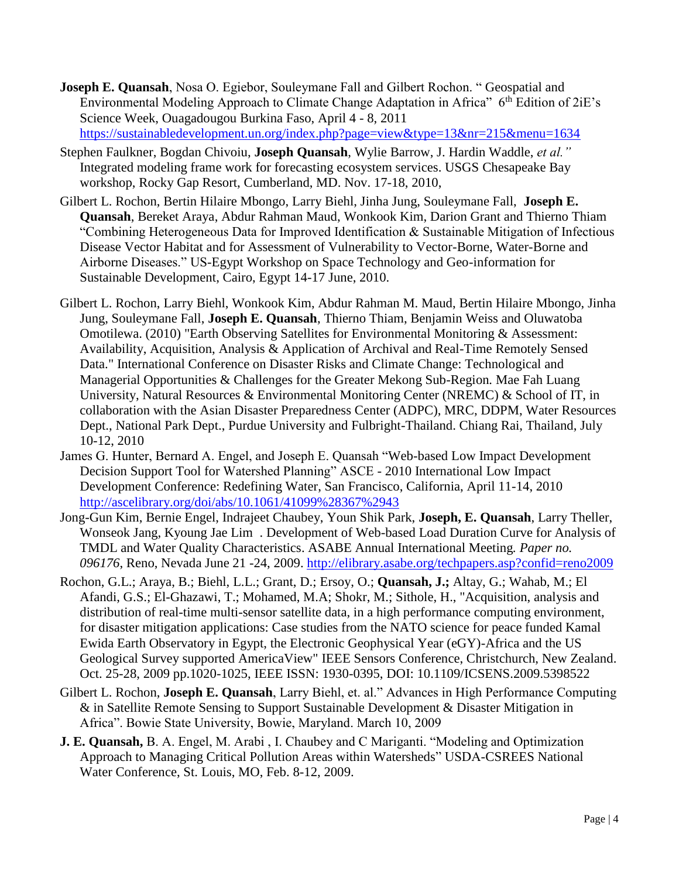- **Joseph E. Quansah**, Nosa O. Egiebor, Souleymane Fall and Gilbert Rochon. " Geospatial and Environmental Modeling Approach to Climate Change Adaptation in Africa"  $6<sup>th</sup>$  Edition of 2iE's Science Week, Ouagadougou Burkina Faso, April 4 - 8, 2011 <https://sustainabledevelopment.un.org/index.php?page=view&type=13&nr=215&menu=1634>
- Stephen Faulkner, Bogdan Chivoiu, **Joseph Quansah**, Wylie Barrow, J. Hardin Waddle, *et al."*  Integrated modeling frame work for forecasting ecosystem services. USGS Chesapeake Bay workshop, Rocky Gap Resort, Cumberland, MD. Nov. 17-18, 2010,
- Gilbert L. Rochon, Bertin Hilaire Mbongo, Larry Biehl, Jinha Jung, Souleymane Fall, **Joseph E. Quansah**, Bereket Araya, Abdur Rahman Maud, Wonkook Kim, Darion Grant and Thierno Thiam "Combining Heterogeneous Data for Improved Identification & Sustainable Mitigation of Infectious Disease Vector Habitat and for Assessment of Vulnerability to Vector-Borne, Water-Borne and Airborne Diseases." US-Egypt Workshop on Space Technology and Geo-information for Sustainable Development, Cairo, Egypt 14-17 June, 2010.
- Gilbert L. Rochon, Larry Biehl, Wonkook Kim, Abdur Rahman M. Maud, Bertin Hilaire Mbongo, Jinha Jung, Souleymane Fall, **Joseph E. Quansah**, Thierno Thiam, Benjamin Weiss and Oluwatoba Omotilewa. (2010) "Earth Observing Satellites for Environmental Monitoring & Assessment: Availability, Acquisition, Analysis & Application of Archival and Real-Time Remotely Sensed Data." International Conference on Disaster Risks and Climate Change: Technological and Managerial Opportunities & Challenges for the Greater Mekong Sub-Region*.* Mae Fah Luang University, Natural Resources & Environmental Monitoring Center (NREMC) & School of IT, in collaboration with the Asian Disaster Preparedness Center (ADPC), MRC, DDPM, Water Resources Dept., National Park Dept., Purdue University and Fulbright-Thailand. Chiang Rai, Thailand, July 10-12, 2010
- James G. Hunter, Bernard A. Engel, and Joseph E. Quansah "Web-based Low Impact Development Decision Support Tool for Watershed Planning" ASCE - 2010 International Low Impact Development Conference: Redefining Water, San Francisco, California, April 11-14, 2010 <http://ascelibrary.org/doi/abs/10.1061/41099%28367%2943>
- Jong-Gun Kim, Bernie Engel, Indrajeet Chaubey, Youn Shik Park, **Joseph, E. Quansah**, Larry Theller, Wonseok Jang, Kyoung Jae Lim . Development of Web-based Load Duration Curve for Analysis of TMDL and Water Quality Characteristics. ASABE Annual International Meeting*. Paper no. 096176*, Reno, Nevada June 21 -24, 2009.<http://elibrary.asabe.org/techpapers.asp?confid=reno2009>
- Rochon, G.L.; Araya, B.; Biehl, L.L.; Grant, D.; Ersoy, O.; **Quansah, J.;** Altay, G.; Wahab, M.; El Afandi, G.S.; El-Ghazawi, T.; Mohamed, M.A; Shokr, M.; Sithole, H., "Acquisition, analysis and distribution of real-time multi-sensor satellite data, in a high performance computing environment, for disaster mitigation applications: Case studies from the NATO science for peace funded Kamal Ewida Earth Observatory in Egypt, the Electronic Geophysical Year (eGY)-Africa and the US Geological Survey supported AmericaView" IEEE Sensors Conference, Christchurch, New Zealand. Oct. 25-28, 2009 pp.1020-1025, IEEE ISSN: 1930-0395, DOI: 10.1109/ICSENS.2009.5398522
- Gilbert L. Rochon, **Joseph E. Quansah**, Larry Biehl, et. al." Advances in High Performance Computing & in Satellite Remote Sensing to Support Sustainable Development & Disaster Mitigation in Africa". Bowie State University, Bowie, Maryland. March 10, 2009
- **J. E. Quansah,** B. A. Engel, M. Arabi , I. Chaubey and C Mariganti. "Modeling and Optimization Approach to Managing Critical Pollution Areas within Watersheds" USDA-CSREES National Water Conference, St. Louis, MO, Feb. 8-12, 2009.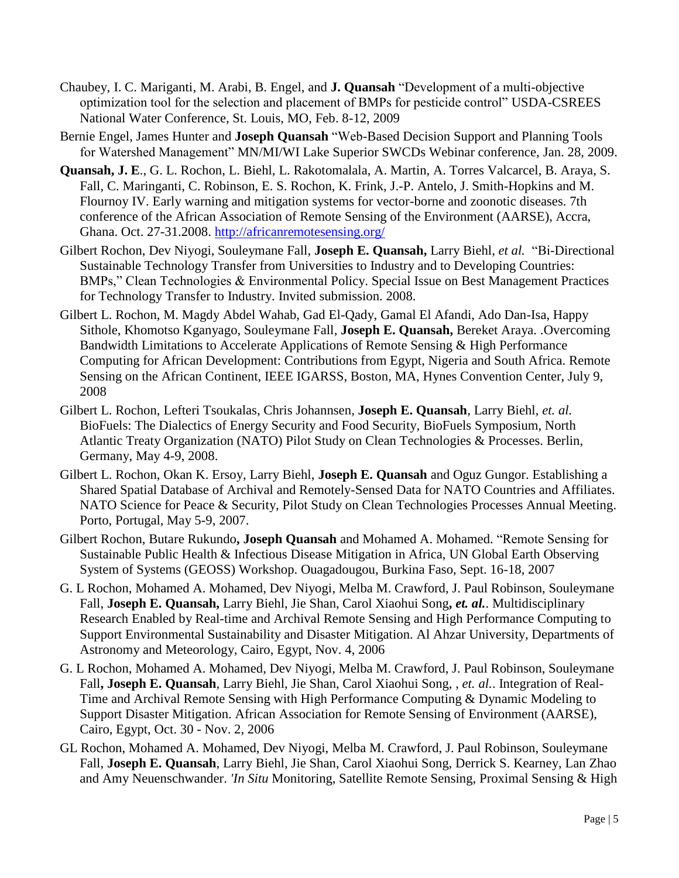- Chaubey, I. C. Mariganti, M. Arabi, B. Engel, and **J. Quansah** "Development of a multi-objective optimization tool for the selection and placement of BMPs for pesticide control" USDA-CSREES National Water Conference, St. Louis, MO, Feb. 8-12, 2009
- Bernie Engel, James Hunter and **Joseph Quansah** "Web-Based Decision Support and Planning Tools for Watershed Management" MN/MI/WI Lake Superior SWCDs Webinar conference, Jan. 28, 2009.
- **Quansah, J. E**., G. L. Rochon, L. Biehl, L. Rakotomalala, A. Martin, A. Torres Valcarcel, B. Araya, S. Fall, C. Maringanti, C. Robinson, E. S. Rochon, K. Frink, J.-P. Antelo, J. Smith-Hopkins and M. Flournoy IV. Early warning and mitigation systems for vector-borne and zoonotic diseases. 7th conference of the African Association of Remote Sensing of the Environment (AARSE), Accra, Ghana. Oct. 27-31.2008.<http://africanremotesensing.org/>
- Gilbert Rochon, Dev Niyogi, Souleymane Fall, **Joseph E. Quansah,** Larry Biehl, *et al.* "Bi-Directional Sustainable Technology Transfer from Universities to Industry and to Developing Countries: BMPs," Clean Technologies & Environmental Policy. Special Issue on Best Management Practices for Technology Transfer to Industry. Invited submission. 2008.
- Gilbert L. Rochon, M. Magdy Abdel Wahab, Gad El-Qady, Gamal El Afandi, Ado Dan-Isa, Happy Sithole, Khomotso Kganyago, Souleymane Fall*,* **Joseph E. Quansah,** Bereket Araya. .Overcoming Bandwidth Limitations to Accelerate Applications of Remote Sensing & High Performance Computing for African Development: Contributions from Egypt, Nigeria and South Africa. Remote Sensing on the African Continent, IEEE IGARSS, Boston, MA, Hynes Convention Center, July 9, 2008
- Gilbert L. Rochon, Lefteri Tsoukalas, Chris Johannsen*,* **Joseph E. Quansah***,* Larry Biehl, *et. al.* BioFuels: The Dialectics of Energy Security and Food Security, BioFuels Symposium, North Atlantic Treaty Organization (NATO) Pilot Study on Clean Technologies & Processes. Berlin, Germany, May 4-9, 2008.
- Gilbert L. Rochon, Okan K. Ersoy, Larry Biehl, **Joseph E. Quansah** and Oguz Gungor. Establishing a Shared Spatial Database of Archival and Remotely-Sensed Data for NATO Countries and Affiliates. NATO Science for Peace & Security, Pilot Study on Clean Technologies Processes Annual Meeting. Porto, Portugal, May 5-9, 2007.
- Gilbert Rochon, Butare Rukundo**, Joseph Quansah** and Mohamed A. Mohamed. "Remote Sensing for Sustainable Public Health & Infectious Disease Mitigation in Africa, UN Global Earth Observing System of Systems (GEOSS) Workshop. Ouagadougou, Burkina Faso, Sept. 16-18, 2007
- G. L Rochon, Mohamed A. Mohamed, Dev Niyogi, Melba M. Crawford, J. Paul Robinson, Souleymane Fall, **Joseph E. Quansah,** Larry Biehl, Jie Shan, Carol Xiaohui Song**,** *et. al.*. Multidisciplinary Research Enabled by Real-time and Archival Remote Sensing and High Performance Computing to Support Environmental Sustainability and Disaster Mitigation. Al Ahzar University, Departments of Astronomy and Meteorology, Cairo, Egypt, Nov. 4, 2006
- G. L Rochon, Mohamed A. Mohamed, Dev Niyogi, Melba M. Crawford, J. Paul Robinson, Souleymane Fall**, Joseph E. Quansah***,* Larry Biehl, Jie Shan, Carol Xiaohui Song, , *et. al.*. Integration of Real-Time and Archival Remote Sensing with High Performance Computing & Dynamic Modeling to Support Disaster Mitigation. African Association for Remote Sensing of Environment (AARSE), Cairo, Egypt, Oct. 30 - Nov. 2, 2006
- GL Rochon, Mohamed A. Mohamed, Dev Niyogi, Melba M. Crawford, J. Paul Robinson, Souleymane Fall, **Joseph E. Quansah**, Larry Biehl, Jie Shan, Carol Xiaohui Song, Derrick S. Kearney, Lan Zhao and Amy Neuenschwander. *'In Situ* Monitoring, Satellite Remote Sensing, Proximal Sensing & High